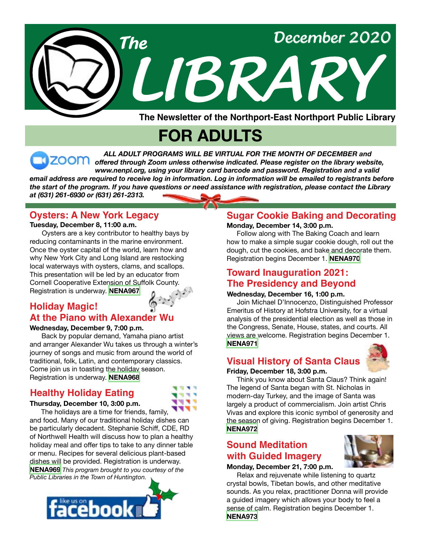

**The Newsletter of the Northport-East Northport Public Library**

# **FOR ADULTS**

*ALL ADULT PROGRAMS WILL BE VIRTUAL FOR THE MONTH OF DECEMBER and offered through Zoom unless otherwise indicated. Please register on the library website, www.nenpl.org, using your library card barcode and password. Registration and a valid email address are required to receive log in information. Log in information will be emailed to registrants before the start of the program. If you have questions or need assistance with registration, please contact the Library* 

*at (631) 261-6930 or (631) 261-2313.*

# **Oysters: A New York Legacy**

#### **Tuesday, December 8, 11:00 a.m.**

 Oysters are a key contributor to healthy bays by reducing contaminants in the marine environment. Once the oyster capital of the world, learn how and why New York City and Long Island are restocking local waterways with oysters, clams, and scallops. This presentation will be led by an educator from Cornell Cooperative Extension of Suffolk County. Registration is underway. **[NENA967](https://search.livebrary.com/record=g1102068~S43)**

# **Holiday Magic! At the Piano with Alexander Wu**

#### **Wednesday, December 9, 7:00 p.m.**

 Back by popular demand, Yamaha piano artist and arranger Alexander Wu takes us through a winter's journey of songs and music from around the world of traditional, folk, Latin, and contemporary classics. Come join us in toasting the holiday season. Registration is underway. **[NENA968](https://search.livebrary.com/record=g1102130~S43)**

### **Healthy Holiday Eating**

#### **Thursday, December 10, 3:00 p.m.**

**TER** 

 The holidays are a time for friends, family, and food. Many of our traditional holiday dishes can be particularly decadent. Stephanie Schiff, CDE, RD of Northwell Health will discuss how to plan a healthy holiday meal and offer tips to take to any dinner table or menu. Recipes for several delicious plant-based dishes will be provided. Registration is underway. **[NENA969](https://search.livebrary.com/record=g1102131~S43)** *This program brought to you courtesy of the Public Libraries in the Town of Huntington.*



# **Sugar Cookie Baking and Decorating**

#### **Monday, December 14, 3:00 p.m.**

 Follow along with The Baking Coach and learn how to make a simple sugar cookie dough, roll out the dough, cut the cookies, and bake and decorate them. Registration begins December 1. **[NENA970](https://search.livebrary.com/record=g1102132~S43)**

# **Toward Inauguration 2021: The Presidency and Beyond**

#### **Wednesday, December 16, 1:00 p.m.**

 Join Michael D'Innocenzo, Distinguished Professor Emeritus of History at Hofstra University, for a virtual analysis of the presidential election as well as those in the Congress, Senate, House, states, and courts. All views are welcome. Registration begins December 1. **[NENA971](https://search.livebrary.com/record=g1102069~S43)**

# **Visual History of Santa Claus**



#### **Friday, December 18, 3:00 p.m.**

 Think you know about Santa Claus? Think again! The legend of Santa began with St. Nicholas in modern-day Turkey, and the image of Santa was largely a product of commercialism. Join artist Chris Vivas and explore this iconic symbol of generosity and the season of giving. Registration begins December 1. **[NENA972](https://search.livebrary.com/record=g1102070~S43)**

# **Sound Meditation with Guided Imagery**

#### **Monday, December 21, 7:00 p.m.**

 Relax and rejuvenate while listening to quartz crystal bowls, Tibetan bowls, and other meditative sounds. As you relax, practitioner Donna will provide a guided imagery which allows your body to feel a sense of calm. Registration begins December 1. **[NENA973](https://search.livebrary.com/record=g1102071~S43)**

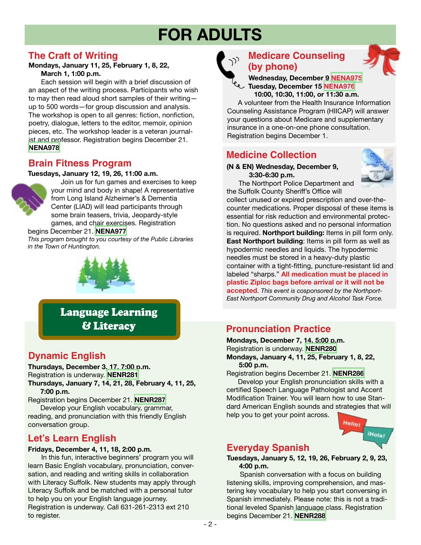# **FOR ADULTS**

## **The Craft of Writing**

**Mondays, January 11, 25, February 1, 8, 22, March 1, 1:00 p.m.**

 Each session will begin with a brief discussion of an aspect of the writing process. Participants who wish to may then read aloud short samples of their writing up to 500 words—for group discussion and analysis. The workshop is open to all genres: fiction, nonfiction, poetry, dialogue, letters to the editor, memoir, opinion pieces, etc. The workshop leader is a veteran journalist and professor. Registration begins December 21. **[NENA978](https://search.livebrary.com/record=g1102185~S43)**

# **Brain Fitness Program**

#### **Tuesdays, January 12, 19, 26, 11:00 a.m.**



 Join us for fun games and exercises to keep your mind and body in shape! A representative from Long Island Alzheimer's & Dementia Center (LIAD) will lead participants through some brain teasers, trivia, Jeopardy-style games, and chair exercises. Registration

#### begins December 21. **[NENA977](https://search.livebrary.com/record=g1102190~S43)**

*This program brought to you courtesy of the Public Libraries in the Town of Huntington.*



Language Learning & Literacy

# **Dynamic English**

**Thursdays, December 3, 17, 7:00 p.m.** Registration is underway. **[NENR281](https://search.livebrary.com/record=g1099946~S43) Thursdays, January 7, 14, 21, 28, February 4, 11, 25,**

 **7:00 p.m.**

Registration begins December 21. **[NENR287](https://search.livebrary.com/record=g1100908~S43)** Develop your English vocabulary, grammar, reading, and pronunciation with this friendly English conversation group.

# **Let's Learn English**

#### **Fridays, December 4, 11, 18, 2:00 p.m.**

In this fun, interactive beginners' program you will learn Basic English vocabulary, pronunciation, conversation, and reading and writing skills in collaboration with Literacy Suffolk. New students may apply through Literacy Suffolk and be matched with a personal tutor to help you on your English language journey. Registration is underway. Call 631-261-2313 ext 210 to register.



# **Medicare Counseling (by phone)**



 A volunteer from the Health Insurance Information Counseling Assistance Program (HIICAP) will answer your questions about Medicare and supplementary insurance in a one-on-one phone consultation. Registration begins December 1.

# **Medicine Collection**

#### **(N & EN) Wednesday, December 9, 3:30-6:30 p.m.**

 The Northport Police Department and the Suffolk County Sheriff's Office will



collect unused or expired prescription and over-thecounter medications. Proper disposal of these items is essential for risk reduction and environmental protection. No questions asked and no personal information is required. **Northport building:** Items in pill form only. **East Northport building**: Items in pill form as well as hypodermic needles and liquids. The hypodermic needles must be stored in a heavy-duty plastic container with a tight-fitting, puncture-resistant lid and labeled "sharps." **All medication must be placed in plastic Ziploc bags before arrival or it will not be accepted**. *This event is cosponsored by the Northport-East Northport Community Drug and Alcohol Task Force.*

# **Pronunciation Practice**

**Mondays, December 7, 14, 5:00 p.m.** Registration is underway. **[NENR280](https://search.livebrary.com/record=g1101911~S43) Mondays, January 4, 11, 25, February 1, 8, 22, 5:00 p.m.**

Registration begins December 21. **[NENR286](https://search.livebrary.com/record=g1100864~S43)**

 Develop your English pronunciation skills with a certified Speech Language Pathologist and Accent Modification Trainer. You will learn how to use Standard American English sounds and strategies that will help you to get your point across.



# **Everyday Spanish**

**Tuesdays, January 5, 12, 19, 26, February 2, 9, 23, 4:00 p.m.**

Spanish conversation with a focus on building listening skills, improving comprehension, and mastering key vocabulary to help you start conversing in Spanish immediately. Please note: this is not a traditional leveled Spanish language class. Registration begins December 21. **[NENR288](https://search.livebrary.com/record=g1100907~S43)**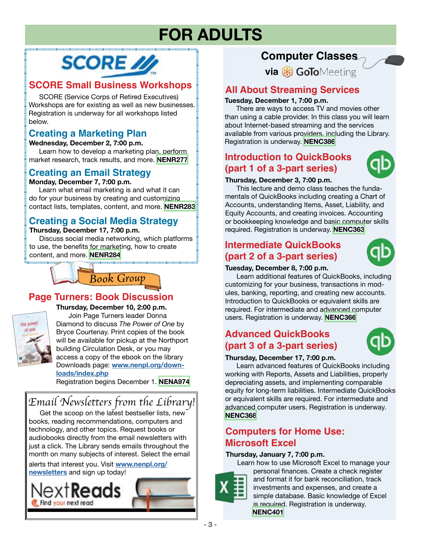# **FOR ADULTS**

# **SCORE** //

# **SCORE Small Business Workshops**

 SCORE (Service Corps of Retired Executives) Workshops are for existing as well as new businesses. Registration is underway for all workshops listed below.

# **Creating a Marketing Plan**

**Wednesday, December 2, 7:00 p.m.** Learn how to develop a marketing plan, perform

market research, track results, and more. **[NENR277](https://search.livebrary.com/record=g1101332~S43)**

# **Creating an Email Strategy**

**Monday, December 7, 7:00 p.m.**

 Learn what email marketing is and what it can do for your business by creating and customizing contact lists, templates, content, and more. **[NENR283](https://search.livebrary.com/record=g1101333~S43)**

# **Creating a Social Media Strategy**

#### **Thursday, December 17, 7:00 p.m.**

 Discuss social media networking, which platforms to use, the benefits for marketing, how to create content, and more. **[NENR284](https://search.livebrary.com/record=g1101334~S43)**



# **Page Turners: Book Discussion**



**Thursday, December 10, 2:00 p.m.** Join Page Turners leader Donna Diamond to discuss *The Power of One* by Bryce Courtenay. Print copies of the book will be available for pickup at the Northport

building Circulation Desk, or you may access a copy of the ebook on the library Downloads page: **[www.nenpl.org/down](http://www.nenpl.org/downloads/index.php)[loads/index.php](http://www.nenpl.org/downloads/index.php)**

Registration begins December 1. **[NENA974](https://search.livebrary.com/record=g1102072~S43)**

# *Email Newsletters from the Library!*

Get the scoop on the latest bestseller lists, new books, reading recommendations, computers and technology, and other topics. Request books or audiobooks directly from the email newsletters with just a click. The Library sends emails throughout the month on many subjects of interest. Select the email

alerts that interest you. Visit **[www.nenpl.org/](http://www.nenpl.org/newsletters) [newsletters](http://www.nenpl.org/newsletters)** and sign up today!



# **Computer Classes**

**via & GoTo**Meeting

# **All About Streaming Services**

#### **Tuesday, December 1, 7:00 p.m.**

 There are ways to access TV and movies other than using a cable provider. In this class you will learn about Internet-based streaming and the services available from various providers, including the Library. Registration is underway. **[NENC386](https://search.livebrary.com/record=g1100039~S43)**

# **Introduction to QuickBooks (part 1 of a 3-part series)**



#### **Thursday, December 3, 7:00 p.m.**

 This lecture and demo class teaches the fundamentals of QuickBooks including creating a Chart of Accounts, understanding Items, Asset, Liability, and Equity Accounts, and creating invoices. Accounting or bookkeeping knowledge and basic computer skills required. Registration is underway. **[NENC363](https://search.livebrary.com/record=g1101336~S43)**

# **Intermediate QuickBooks (part 2 of a 3-part series)**



#### **Tuesday, December 8, 7:00 p.m.**

 Learn additional features of QuickBooks, including customizing for your business, transactions in modules, banking, reporting, and creating new accounts. Introduction to QuickBooks or equivalent skills are required. For intermediate and advanced computer users. Registration is underway. **[NENC366](https://search.livebrary.com/record=g1084686~S43)**

# **Advanced QuickBooks (part 3 of a 3-part series)**



#### **Thursday, December 17, 7:00 p.m.**

 Learn advanced features of QuickBooks including working with Reports, Assets and Liabilities, properly depreciating assets, and implementing comparable equity for long-term liabilities. Intermediate QuickBooks or equivalent skills are required. For intermediate and advanced computer users. Registration is underway. **[NENC368](https://search.livebrary.com/record=g1093205~S43)**

# **Computers for Home Use: Microsoft Excel**

#### **Thursday, January 7, 7:00 p.m.**

 Learn how to use Microsoft Excel to manage your personal finances. Create a check register and format it for bank reconciliation, track investments and expenses, and create a simple database. Basic knowledge of Excel is required. Registration is underway. **[NENC401](https://search.livebrary.com/record=g1100159~S43)**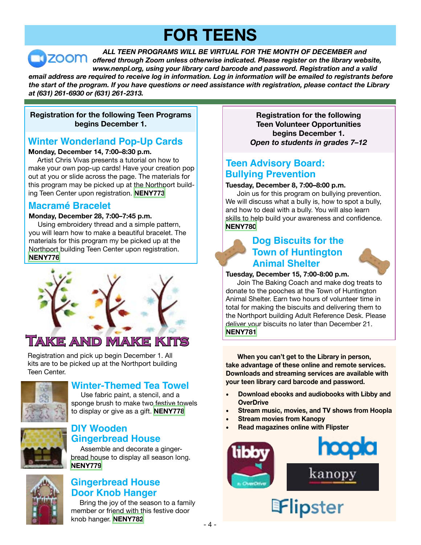# **FOR TEENS**

*ALL TEEN PROGRAMS WILL BE VIRTUAL FOR THE MONTH OF DECEMBER and offered through Zoom unless otherwise indicated. Please register on the library website, www.nenpl.org, using your library card barcode and password. Registration and a valid email address are required to receive log in information. Log in information will be emailed to registrants before the start of the program. If you have questions or need assistance with registration, please contact the Library at (631) 261-6930 or (631) 261-2313.*

#### **Registration for the following Teen Programs begins December 1.**

# **Winter Wonderland Pop-Up Cards**

#### **Monday, December 14, 7:00–8:30 p.m.**

Artist Chris Vivas presents a tutorial on how to make your own pop-up cards! Have your creation pop out at you or slide across the page. The materials for this program may be picked up at the Northport building Teen Center upon registration. **[NENY773](https://search.livebrary.com/record=g1102147~S43)**

### **Macramé Bracelet**

#### **Monday, December 28, 7:00–7:45 p.m.**

Using embroidery thread and a simple pattern, you will learn how to make a beautiful bracelet. The materials for this program my be picked up at the Northport building Teen Center upon registration. **[NENY776](https://search.livebrary.com/record=g1102148~S43)**



# **Take and Make Kits**

Registration and pick up begin December 1. All kits are to be picked up at the Northport building Teen Center.



# **Winter-Themed Tea Towel**

 Use fabric paint, a stencil, and a sponge brush to make two festive towels to display or give as a gift. **[NENY778](https://search.livebrary.com/record=g1102203~S43)**



#### **DIY Wooden Gingerbread House**

 Assemble and decorate a gingerbread house to display all season long. **[NENY779](https://search.livebrary.com/record=g1102214~S43)**



### **Gingerbread House Door Knob Hanger**

 Bring the joy of the season to a family member or friend with this festive door knob hanger. **[NENY782](https://search.livebrary.com/record=g1102215~S43)**

**Registration for the following Teen Volunteer Opportunities begins December 1.** *Open to students in grades 7–12*

# **Teen Advisory Board: Bullying Prevention**

#### **Tuesday, December 8, 7:00–8:00 p.m.**

 Join us for this program on bullying prevention. We will discuss what a bully is, how to spot a bully, and how to deal with a bully. You will also learn skills to help build your awareness and confidence. **[NENY780](https://search.livebrary.com/record=g1102152~S43)**

# **Dog Biscuits for the Town of Huntington Animal Shelter**



**Tuesday, December 15, 7:00-8:00 p.m.**

Join The Baking Coach and make dog treats to donate to the pooches at the Town of Huntington Animal Shelter. Earn two hours of volunteer time in total for making the biscuits and delivering them to the Northport building Adult Reference Desk. Please deliver your biscuits no later than December 21. **[NENY781](https://search.livebrary.com/record=g1102234~S43)**

**When you can't get to the Library in person, take advantage of these online and remote services. Downloads and streaming services are available with your teen library card barcode and password.** 

- **Download ebooks and audiobooks with Libby and OverDrive**
- **Stream music, movies, and TV shows from Hoopla**
- **Stream movies from Kanopy**
- **Read magazines online with Flipster**

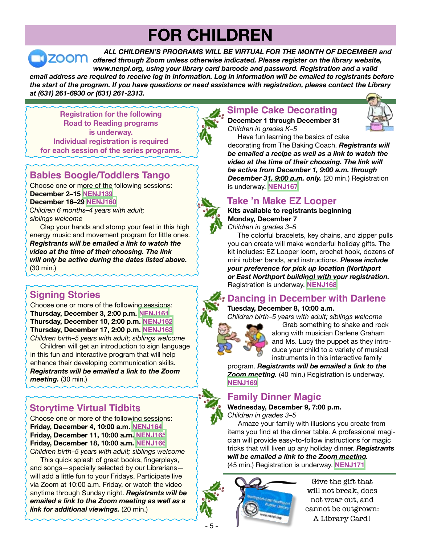# **FOR CHILDREN**

*ALL CHILDREN'S PROGRAMS WILL BE VIRTUAL FOR THE MONTH OF DECEMBER and* **ZOOM** offered through Zoom unless otherwise indicated. Please register on the library website, *www.nenpl.org, using your library card barcode and password. Registration and a valid email address are required to receive log in information. Log in information will be emailed to registrants before the start of the program. If you have questions or need assistance with registration, please contact the Library at (631) 261-6930 or (631) 261-2313.*

**Registration for the following Road to Reading programs is underway. Individual registration is required for each session of the series programs.** 

# **Babies Boogie/Toddlers Tango**

Choose one or more of the following sessions: **December 2–15 [NENJ139](https://search.livebrary.com/record=g1101472~S43) December 16–29 [NENJ160](https://search.livebrary.com/record=g1101475~S43)** *Children 6 months–4 years with adult; siblings welcome*

 Clap your hands and stomp your feet in this high energy music and movement program for little ones. *Registrants will be emailed a link to watch the video at the time of their choosing. The link will only be active during the dates listed above.* (30 min.)

# **Signing Stories**

Choose one or more of the following sessions: **Thursday, December 3, 2:00 p.m. [NENJ161](https://search.livebrary.com/record=g1101507~S43) Thursday, December 10, 2:00 p.m. [NENJ162](https://search.livebrary.com/record=g1101508~S43) Thursday, December 17, 2:00 p.m. [NENJ163](https://search.livebrary.com/record=g1101509~S43)**

*Children birth–5 years with adult; siblings welcome* Children will get an introduction to sign language in this fun and interactive program that will help enhance their developing communication skills. *Registrants will be emailed a link to the Zoom meeting.* (30 min.)

# **Storytime Virtual Tidbits**

Choose one or more of the following sessions: **Friday, December 4, 10:00 a.m. [NENJ164](https://search.livebrary.com/record=g1101431~S43) Friday, December 11, 10:00 a.m[. NENJ165](https://search.livebrary.com/record=g1101433~S43) Friday, December 18, 10:00 a.m. [NENJ166](https://search.livebrary.com/record=g1101434~S43)** C*hildren birth–5 years with adult; siblings welcome*

 This quick splash of great books, fingerplays, and songs—specially selected by our Librarians will add a little fun to your Fridays. Participate live via Zoom at 10:00 a.m. Friday, or watch the video anytime through Sunday night. *Registrants will be emailed a link to the Zoom meeting as well as a link for additional viewings.* (20 min.)

# **Simple Cake Decorating**

**December 1 through December 31** *Children in grades K–5*



Have fun learning the basics of cake decorating from The Baking Coach. *Registrants will be emailed a recipe as well as a link to watch the video at the time of their choosing. The link will be active from December 1, 9:00 a.m. through December 31, 9:00 p.m. only.* (20 min.) Registration is underway. **[NENJ167](https://search.livebrary.com/record=g1101478~S43)**

# **Take 'n Make EZ Looper**

**Kits available to registrants beginning Monday, December 7** *Children in grades 3–5*

The colorful bracelets, key chains, and zipper pulls you can create will make wonderful holiday gifts. The kit includes: EZ Looper loom, crochet hook, dozens of mini rubber bands, and instructions. *Please include your preference for pick up location (Northport or East Northport building) with your registration.*  Registration is underway. **[NENJ168](https://search.livebrary.com/record=g1101495~S43)**

# **Dancing in December with Darlene**

#### **Tuesday, December 8, 10:00 a.m.**

*Children birth–5 years with adult; siblings welcome*

Grab something to shake and rock along with musician Darlene Graham and Ms. Lucy the puppet as they introduce your child to a variety of musical instruments in this interactive family

program. *Registrants will be emailed a link to the Zoom meeting.* (40 min.) Registration is underway. **[NENJ169](https://search.livebrary.com/record=g1102135~S43)**

# **Family Dinner Magic**



**Wednesday, December 9, 7:00 p.m.** *Children in grades 3–5*

Amaze your family with illusions you create from items you find at the dinner table. A professional magician will provide easy-to-follow instructions for magic tricks that will liven up any holiday dinner. *Registrants will be emailed a link to the Zoom meeting.* (45 min.) Registration is underway. **[NENJ171](https://search.livebrary.com/record=g1101502~S43)**



Give the gift that will not break, does not wear out, and cannot be outgrown: A Library Card!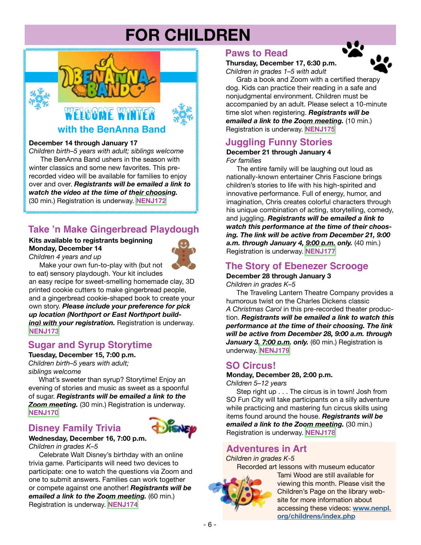# **FOR CHILDREN**



#### **December 14 through January 17**

*Children birth–5 years with adult; siblings welcome* The BenAnna Band ushers in the season with winter classics and some new favorites. This prerecorded video will be available for families to enjoy over and over. *Registrants will be emailed a link to watch the video at the time of their choosing.* (30 min.) Registration is underway. **[NENJ172](https://search.livebrary.com/record=g1101493~S43)**

### **Take 'n Make Gingerbread Playdough**

#### **Kits available to registrants beginning Monday, December 14**



*Children 4 years and up* Make your own fun-to-play with (but not

to eat) sensory playdough. Your kit includes an easy recipe for sweet-smelling homemade clay, 3D printed cookie cutters to make gingerbread people, and a gingerbread cookie-shaped book to create your own story. *Please include your preference for pick up location (Northport or East Northport building)* with your registration. Registration is underway. **[NENJ173](https://search.livebrary.com/record=g1101503~S43)**

### **Sugar and Syrup Storytime**

**Tuesday, December 15, 7:00 p.m.** *Children birth–5 years with adult; siblings welcome*

What's sweeter than syrup? Storytime! Enjoy an evening of stories and music as sweet as a spoonful of sugar. *Registrants will be emailed a link to the Zoom meeting.* (30 min.) Registration is underway. **[NENJ170](https://search.livebrary.com/record=g1101429~S43)**

# **Disney Family Trivia**



#### **Wednesday, December 16, 7:00 p.m.**

*Children in grades K–5*

Celebrate Walt Disney's birthday with an online trivia game. Participants will need two devices to participate: one to watch the questions via Zoom and one to submit answers. Families can work together or compete against one another! *Registrants will be emailed a link to the Zoom meeting.* (60 min.) Registration is underway. **[NENJ174](https://search.livebrary.com/record=g1101438~S43)**

#### **Paws to Read**

#### **Thursday, December 17, 6:30 p.m.** *Children in grades 1–5 with adult*



 Grab a book and Zoom with a certified therapy dog. Kids can practice their reading in a safe and nonjudgmental environment. Children must be accompanied by an adult. Please select a 10-minute time slot when registering. *Registrants will be emailed a link to the Zoom meeting.* (10 min.) Registration is underway. **[NENJ175](https://search.livebrary.com/record=g1101479~S43)**

### **Juggling Funny Stories**

#### **December 21 through January 4** *For families*

The entire family will be laughing out loud as nationally-known entertainer Chris Fascione brings children's stories to life with his high-spirited and innovative performance. Full of energy, humor, and imagination, Chris creates colorful characters through his unique combination of acting, storytelling, comedy, and juggling. *Registrants will be emailed a link to watch this performance at the time of their choosing. The link will be active from December 21, 9:00 a.m. through January 4, 9:00 p.m. only.* (40 min.) Registration is underway. **[NENJ177](https://search.livebrary.com/record=g1101463~S43)**

# **The Story of Ebenezer Scrooge**

**December 28 through January 3**

*Children in grades K–5*

The Traveling Lantern Theatre Company provides a humorous twist on the Charles Dickens classic *A Christmas Carol* in this pre-recorded theater production. *Registrants will be emailed a link to watch this performance at the time of their choosing. The link will be active from December 28, 9:00 a.m. through*  January 3, 7:00 p.m. only. (60 min.) Registration is underway. **[NENJ179](https://search.livebrary.com/record=g1101209~S43)**

#### **SO Circus!**

**Monday, December 28, 2:00 p.m.** *Children 5–12 years*

Step right up . . . The circus is in town! Josh from SO Fun City will take participants on a silly adventure while practicing and mastering fun circus skills using items found around the house. *Registrants will be emailed a link to the Zoom meeting.* (30 min.) Registration is underway. **[NENJ178](https://search.livebrary.com/record=g1101481~S43)**

### **Adventures in Art**

*Children in grades K-5*

Recorded art lessons with museum educator



Tami Wood are still available for viewing this month. Please visit the Children's Page on the library website for more information about accessing these videos: **[www.nenpl.](http://www.nenpl.org/childrens/index.php) [org/childrens/index.php](http://www.nenpl.org/childrens/index.php)**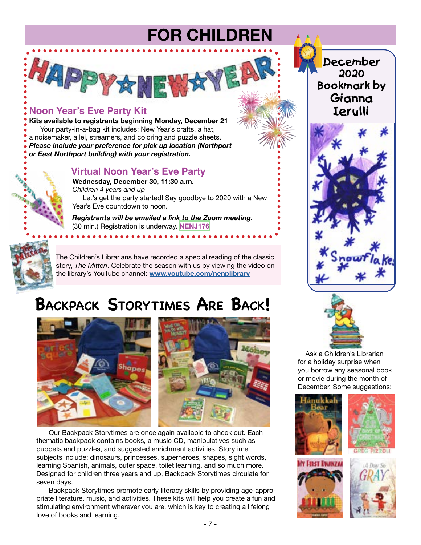# **FOR CHILDREN**

# **Noon Year's Eve Party Kit**

HAPPYA

**Kits available to registrants beginning Monday, December 21** Your party-in-a-bag kit includes: New Year's crafts, a hat, a noisemaker, a lei, streamers, and coloring and puzzle sheets. *Please include your preference for pick up location (Northport or East Northport building) with your registration.* 

#### **Virtual Noon Year's Eve Party**

外界

**Wednesday, December 30, 11:30 a.m.** *Children 4 years and up* Let's get the party started! Say goodbye to 2020 with a New Year's Eve countdown to noon.

*Registrants will be emailed a link to the Zoom meeting.* (30 min.) Registration is underway. **[NENJ176](https://search.livebrary.com/record=g1101583~S43)**

**\*\*\*\*\*\*\*\*\*\*\*\*\*\*\*\*** 

The Children's Librarians have recorded a special reading of the classic story, *The Mitten*. Celebrate the season with us by viewing the video on the library's YouTube channel: **[www.youtube.com/nenplibrary](http://www.youtube.com/nenplibrary)**

# **Backpack Storytimes Are Back!**



Our Backpack Storytimes are once again available to check out. Each thematic backpack contains books, a music CD, manipulatives such as puppets and puzzles, and suggested enrichment activities. Storytime subjects include: dinosaurs, princesses, superheroes, shapes, sight words, learning Spanish, animals, outer space, toilet learning, and so much more. Designed for children three years and up, Backpack Storytimes circulate for seven days.

Backpack Storytimes promote early literacy skills by providing age-appropriate literature, music, and activities. These kits will help you create a fun and stimulating environment wherever you are, which is key to creating a lifelong love of books and learning.

**December 2020 Bookmark by Gianna Ierulli** 





 Ask a Children's Librarian for a holiday surprise when you borrow any seasonal book or movie during the month of December. Some suggestions: